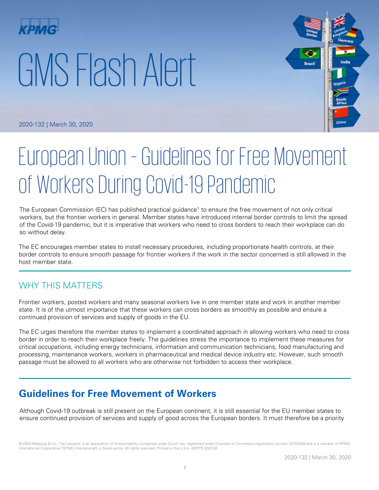# GMS Flash Alert



2020-132 | March 30, 2020

# European Union – Guidelines for Free Movement of Workers During Covid-19 Pandemic

The European Commission (EC) has published practical guidance<sup>1</sup> to ensure the free movement of not only critical workers, but the frontier workers in general. Member states have introduced internal border controls to limit the spread of the Covid-19 pandemic, but it is imperative that workers who need to cross borders to reach their workplace can do so without delay.

The EC encourages member states to install necessary procedures, including proportionate health controls, at their border controls to ensure smooth passage for frontier workers if the work in the sector concerned is still allowed in the host member state.

# WHY THIS MATTERS

Frontier workers, posted workers and many seasonal workers live in one member state and work in another member state. It is of the utmost importance that these workers can cross borders as smoothly as possible and ensure a continued provision of services and supply of goods in the EU.

The EC urges therefore the member states to implement a coordinated approach in allowing workers who need to cross border in order to reach their workplace freely. The guidelines stress the importance to implement these measures for critical occupations, including energy technicians, information and communication technicians, food manufacturing and processing, maintenance workers, workers in pharmaceutical and medical device industry etc. However, such smooth passage must be allowed to all workers who are otherwise not forbidden to access their workplace.

# **Guidelines for Free Movement of Workers**

Although Covid-19 outbreak is still present on the European continent, it is still essential for the EU member states to ensure continued provision of services and supply of good across the European borders. It must therefore be a priority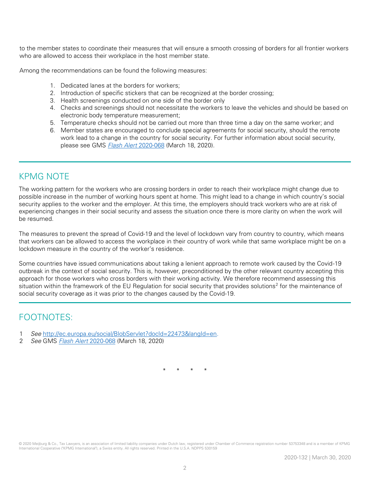to the member states to coordinate their measures that will ensure a smooth crossing of borders for all frontier workers who are allowed to access their workplace in the host member state.

Among the recommendations can be found the following measures:

- 1. Dedicated lanes at the borders for workers;
- 2. Introduction of specific stickers that can be recognized at the border crossing;
- 3. Health screenings conducted on one side of the border only
- 4. Checks and screenings should not necessitate the workers to leave the vehicles and should be based on electronic body temperature measurement;
- 5. Temperature checks should not be carried out more than three time a day on the same worker; and
- 6. Member states are encouraged to conclude special agreements for social security, should the remote work lead to a change in the country for social security. For further information about social security, please see GMS **[Flash Alert](https://home.kpmg/xx/en/home/insights/2020/03/flash-alert-2020-068.html) 2020-068** (March 18, 2020).

### KPMG NOTE

The working pattern for the workers who are crossing borders in order to reach their workplace might change due to possible increase in the number of working hours spent at home. This might lead to a change in which country's social security applies to the worker and the employer. At this time, the employers should track workers who are at risk of experiencing changes in their social security and assess the situation once there is more clarity on when the work will be resumed.

The measures to prevent the spread of Covid-19 and the level of lockdown vary from country to country, which means that workers can be allowed to access the workplace in their country of work while that same workplace might be on a lockdown measure in the country of the worker's residence.

Some countries have issued communications about taking a lenient approach to remote work caused by the Covid-19 outbreak in the context of social security. This is, however, preconditioned by the other relevant country accepting this approach for those workers who cross borders with their working activity. We therefore recommend assessing this situation within the framework of the EU Regulation for social security that provides solutions<sup>2</sup> for the maintenance of social security coverage as it was prior to the changes caused by the Covid-19.

# FOOTNOTES:

- 1 See [http://ec.europa.eu/social/BlobServlet?docId=22473&langId=en.](http://ec.europa.eu/social/BlobServlet?docId=22473&langId=en)
- 2 See GMS [Flash Alert](https://home.kpmg/xx/en/home/insights/2020/03/flash-alert-2020-068.html) 2020-068 (March 18, 2020)

\* \* \* \*

© 2020 Meijburg & Co., Tax Lawyers, is an association of limited liability companies under Dutch law, registered under Chamber of Commerce registration number 53753348 and is a member of KPMG International Cooperative ("KPMG International"), a Swiss entity. All rights reserved. Printed in the U.S.A. NDPPS 530159